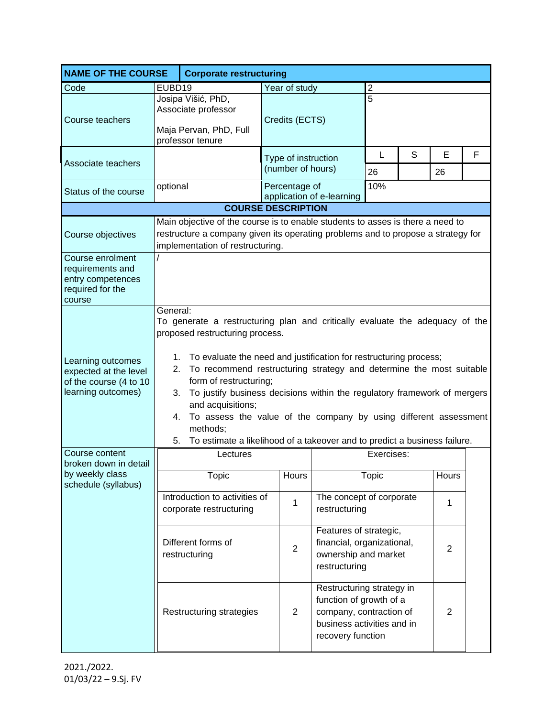| <b>NAME OF THE COURSE</b>                                                                  |                                                                                                                                                                                                                                                                                                                                                                                                                                                                                                                                                                                               | <b>Corporate restructuring</b>                           |                                          |                                                                 |                                                                                                      |   |         |   |
|--------------------------------------------------------------------------------------------|-----------------------------------------------------------------------------------------------------------------------------------------------------------------------------------------------------------------------------------------------------------------------------------------------------------------------------------------------------------------------------------------------------------------------------------------------------------------------------------------------------------------------------------------------------------------------------------------------|----------------------------------------------------------|------------------------------------------|-----------------------------------------------------------------|------------------------------------------------------------------------------------------------------|---|---------|---|
| Code                                                                                       | EUBD19                                                                                                                                                                                                                                                                                                                                                                                                                                                                                                                                                                                        |                                                          | Year of study                            |                                                                 | 2                                                                                                    |   |         |   |
| Course teachers                                                                            | Josipa Višić, PhD,<br>Associate professor<br>Maja Pervan, PhD, Full<br>professor tenure                                                                                                                                                                                                                                                                                                                                                                                                                                                                                                       |                                                          | 5<br>Credits (ECTS)                      |                                                                 |                                                                                                      |   |         |   |
| Associate teachers                                                                         |                                                                                                                                                                                                                                                                                                                                                                                                                                                                                                                                                                                               |                                                          | Type of instruction<br>(number of hours) |                                                                 | L<br>26                                                                                              | S | E<br>26 | F |
| Status of the course                                                                       | optional                                                                                                                                                                                                                                                                                                                                                                                                                                                                                                                                                                                      |                                                          | Percentage of                            | application of e-learning                                       | 10%                                                                                                  |   |         |   |
|                                                                                            | <b>COURSE DESCRIPTION</b>                                                                                                                                                                                                                                                                                                                                                                                                                                                                                                                                                                     |                                                          |                                          |                                                                 |                                                                                                      |   |         |   |
| Course objectives                                                                          | Main objective of the course is to enable students to asses is there a need to<br>restructure a company given its operating problems and to propose a strategy for<br>implementation of restructuring.                                                                                                                                                                                                                                                                                                                                                                                        |                                                          |                                          |                                                                 |                                                                                                      |   |         |   |
| Course enrolment<br>requirements and<br>entry competences<br>required for the<br>course    |                                                                                                                                                                                                                                                                                                                                                                                                                                                                                                                                                                                               |                                                          |                                          |                                                                 |                                                                                                      |   |         |   |
| Learning outcomes<br>expected at the level<br>of the course (4 to 10<br>learning outcomes) | General:<br>To generate a restructuring plan and critically evaluate the adequacy of the<br>proposed restructuring process.<br>To evaluate the need and justification for restructuring process;<br>1.<br>To recommend restructuring strategy and determine the most suitable<br>2.<br>form of restructuring;<br>To justify business decisions within the regulatory framework of mergers<br>3.<br>and acquisitions;<br>To assess the value of the company by using different assessment<br>4.<br>methods;<br>To estimate a likelihood of a takeover and to predict a business failure.<br>5. |                                                          |                                          |                                                                 |                                                                                                      |   |         |   |
| Course content                                                                             | Exercises:<br>Lectures                                                                                                                                                                                                                                                                                                                                                                                                                                                                                                                                                                        |                                                          |                                          |                                                                 |                                                                                                      |   |         |   |
| broken down in detail<br>by weekly class<br>schedule (syllabus)                            |                                                                                                                                                                                                                                                                                                                                                                                                                                                                                                                                                                                               | <b>Topic</b>                                             | Hours                                    |                                                                 | Topic                                                                                                |   | Hours   |   |
|                                                                                            |                                                                                                                                                                                                                                                                                                                                                                                                                                                                                                                                                                                               | Introduction to activities of<br>corporate restructuring | 1                                        | The concept of corporate<br>restructuring                       |                                                                                                      |   | 1       |   |
|                                                                                            | Different forms of<br>restructuring                                                                                                                                                                                                                                                                                                                                                                                                                                                                                                                                                           |                                                          | $\overline{2}$                           | Features of strategic,<br>ownership and market<br>restructuring | financial, organizational,<br>$\overline{2}$                                                         |   |         |   |
|                                                                                            |                                                                                                                                                                                                                                                                                                                                                                                                                                                                                                                                                                                               | Restructuring strategies                                 | $\overline{2}$                           | function of growth of a<br>recovery function                    | Restructuring strategy in<br>$\overline{2}$<br>company, contraction of<br>business activities and in |   |         |   |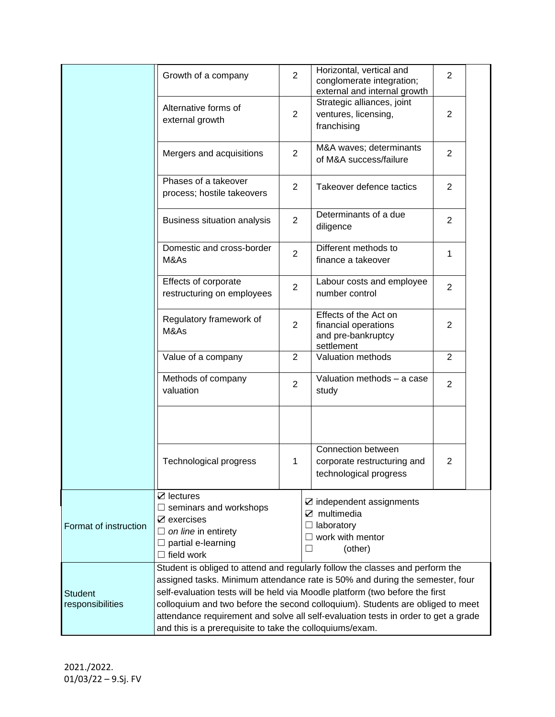|                                    | Growth of a company                                                                                                                                                                                                                                                                                                                                                                                                                                                               | $\overline{2}$ | Horizontal, vertical and<br>conglomerate integration;<br>external and internal growth                      | $\overline{2}$ |  |
|------------------------------------|-----------------------------------------------------------------------------------------------------------------------------------------------------------------------------------------------------------------------------------------------------------------------------------------------------------------------------------------------------------------------------------------------------------------------------------------------------------------------------------|----------------|------------------------------------------------------------------------------------------------------------|----------------|--|
|                                    | Alternative forms of<br>external growth                                                                                                                                                                                                                                                                                                                                                                                                                                           | 2              | Strategic alliances, joint<br>ventures, licensing,<br>franchising                                          | $\overline{2}$ |  |
|                                    | Mergers and acquisitions                                                                                                                                                                                                                                                                                                                                                                                                                                                          | 2              | M&A waves; determinants<br>of M&A success/failure                                                          | $\overline{2}$ |  |
|                                    | Phases of a takeover<br>process; hostile takeovers                                                                                                                                                                                                                                                                                                                                                                                                                                | 2              | Takeover defence tactics                                                                                   | $\overline{2}$ |  |
|                                    | Business situation analysis                                                                                                                                                                                                                                                                                                                                                                                                                                                       | $\overline{2}$ | Determinants of a due<br>diligence                                                                         | $\overline{2}$ |  |
|                                    | Domestic and cross-border<br>M&As                                                                                                                                                                                                                                                                                                                                                                                                                                                 | $\overline{2}$ | Different methods to<br>finance a takeover                                                                 | 1              |  |
|                                    | Effects of corporate<br>restructuring on employees                                                                                                                                                                                                                                                                                                                                                                                                                                | $\overline{2}$ | Labour costs and employee<br>number control                                                                | $\overline{2}$ |  |
|                                    | Regulatory framework of<br>M&As                                                                                                                                                                                                                                                                                                                                                                                                                                                   | 2              | Effects of the Act on<br>financial operations<br>and pre-bankruptcy<br>settlement                          | $\overline{2}$ |  |
|                                    | Value of a company                                                                                                                                                                                                                                                                                                                                                                                                                                                                | $\overline{2}$ | Valuation methods                                                                                          | $\overline{2}$ |  |
|                                    | Methods of company<br>valuation                                                                                                                                                                                                                                                                                                                                                                                                                                                   | $\overline{2}$ | Valuation methods - a case<br>study                                                                        | $\overline{2}$ |  |
|                                    |                                                                                                                                                                                                                                                                                                                                                                                                                                                                                   |                | Connection between                                                                                         |                |  |
|                                    | Technological progress                                                                                                                                                                                                                                                                                                                                                                                                                                                            | 1              | corporate restructuring and<br>technological progress                                                      | $\overline{2}$ |  |
| Format of instruction              | $\boxtimes$ lectures<br>$\Box$ seminars and workshops<br>$\mathbb Z$ exercises<br>$\Box$ on line in entirety<br>partial e-learning<br>field work<br>$\mathsf{L}$                                                                                                                                                                                                                                                                                                                  |                | $\boxtimes$ independent assignments<br>$\boxtimes$ multimedia<br>laboratory<br>work with mentor<br>(other) |                |  |
| <b>Student</b><br>responsibilities | Student is obliged to attend and regularly follow the classes and perform the<br>assigned tasks. Minimum attendance rate is 50% and during the semester, four<br>self-evaluation tests will be held via Moodle platform (two before the first<br>colloquium and two before the second colloquium). Students are obliged to meet<br>attendance requirement and solve all self-evaluation tests in order to get a grade<br>and this is a prerequisite to take the colloquiums/exam. |                |                                                                                                            |                |  |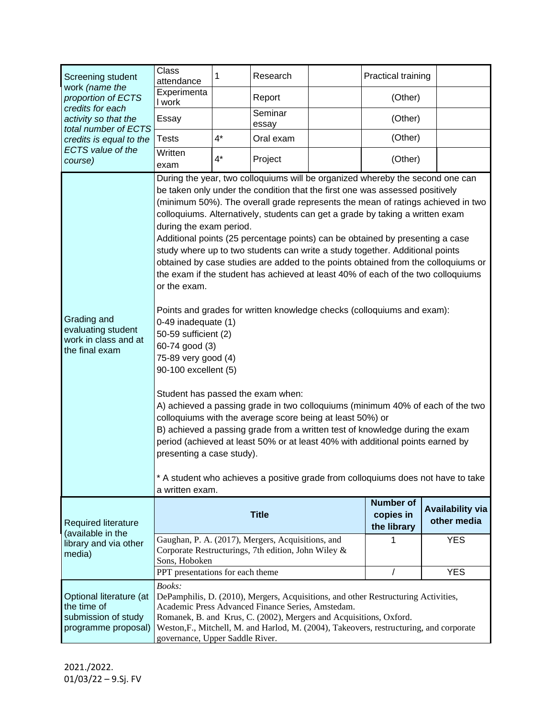| Screening student<br>work (name the<br>proportion of ECTS<br>credits for each<br>activity so that the<br>total number of ECTS<br>credits is equal to the | <b>Class</b><br>attendance                                                                                                                                                                                                                                                                                                                                                                                                                                                                                                                                                                                                                                                                                                                                                                                                                                                                                                                                                                                                                                                                                                                                                                                                                                                                                                                                                                                 | 1     | Research         |  | Practical training                           |                                        |  |
|----------------------------------------------------------------------------------------------------------------------------------------------------------|------------------------------------------------------------------------------------------------------------------------------------------------------------------------------------------------------------------------------------------------------------------------------------------------------------------------------------------------------------------------------------------------------------------------------------------------------------------------------------------------------------------------------------------------------------------------------------------------------------------------------------------------------------------------------------------------------------------------------------------------------------------------------------------------------------------------------------------------------------------------------------------------------------------------------------------------------------------------------------------------------------------------------------------------------------------------------------------------------------------------------------------------------------------------------------------------------------------------------------------------------------------------------------------------------------------------------------------------------------------------------------------------------------|-------|------------------|--|----------------------------------------------|----------------------------------------|--|
|                                                                                                                                                          | Experimenta<br>I work                                                                                                                                                                                                                                                                                                                                                                                                                                                                                                                                                                                                                                                                                                                                                                                                                                                                                                                                                                                                                                                                                                                                                                                                                                                                                                                                                                                      |       | Report           |  | (Other)                                      |                                        |  |
|                                                                                                                                                          | Essay                                                                                                                                                                                                                                                                                                                                                                                                                                                                                                                                                                                                                                                                                                                                                                                                                                                                                                                                                                                                                                                                                                                                                                                                                                                                                                                                                                                                      |       | Seminar<br>essay |  | (Other)                                      |                                        |  |
|                                                                                                                                                          | <b>Tests</b>                                                                                                                                                                                                                                                                                                                                                                                                                                                                                                                                                                                                                                                                                                                                                                                                                                                                                                                                                                                                                                                                                                                                                                                                                                                                                                                                                                                               | $4^*$ | Oral exam        |  | (Other)                                      |                                        |  |
| <b>ECTS</b> value of the<br>course)                                                                                                                      | Written<br>exam                                                                                                                                                                                                                                                                                                                                                                                                                                                                                                                                                                                                                                                                                                                                                                                                                                                                                                                                                                                                                                                                                                                                                                                                                                                                                                                                                                                            | $4^*$ | Project          |  | (Other)                                      |                                        |  |
| Grading and<br>evaluating student<br>work in class and at<br>the final exam                                                                              | During the year, two colloquiums will be organized whereby the second one can<br>be taken only under the condition that the first one was assessed positively<br>(minimum 50%). The overall grade represents the mean of ratings achieved in two<br>colloquiums. Alternatively, students can get a grade by taking a written exam<br>during the exam period.<br>Additional points (25 percentage points) can be obtained by presenting a case<br>study where up to two students can write a study together. Additional points<br>obtained by case studies are added to the points obtained from the colloquiums or<br>the exam if the student has achieved at least 40% of each of the two colloquiums<br>or the exam.<br>Points and grades for written knowledge checks (colloquiums and exam):<br>0-49 inadequate (1)<br>50-59 sufficient (2)<br>60-74 good (3)<br>75-89 very good (4)<br>90-100 excellent (5)<br>Student has passed the exam when:<br>A) achieved a passing grade in two colloquiums (minimum 40% of each of the two<br>colloquiums with the average score being at least 50%) or<br>B) achieved a passing grade from a written test of knowledge during the exam<br>period (achieved at least 50% or at least 40% with additional points earned by<br>presenting a case study).<br>* A student who achieves a positive grade from colloquiums does not have to take<br>a written exam. |       |                  |  |                                              |                                        |  |
| <b>Required literature</b>                                                                                                                               |                                                                                                                                                                                                                                                                                                                                                                                                                                                                                                                                                                                                                                                                                                                                                                                                                                                                                                                                                                                                                                                                                                                                                                                                                                                                                                                                                                                                            |       | <b>Title</b>     |  | <b>Number of</b><br>copies in<br>the library | <b>Availability via</b><br>other media |  |
| (available in the<br>library and via other<br>media)                                                                                                     | Gaughan, P. A. (2017), Mergers, Acquisitions, and<br>Corporate Restructurings, 7th edition, John Wiley &<br>Sons, Hoboken                                                                                                                                                                                                                                                                                                                                                                                                                                                                                                                                                                                                                                                                                                                                                                                                                                                                                                                                                                                                                                                                                                                                                                                                                                                                                  |       |                  |  | 1                                            | <b>YES</b>                             |  |
|                                                                                                                                                          | PPT presentations for each theme                                                                                                                                                                                                                                                                                                                                                                                                                                                                                                                                                                                                                                                                                                                                                                                                                                                                                                                                                                                                                                                                                                                                                                                                                                                                                                                                                                           |       |                  |  | $\prime$                                     | <b>YES</b>                             |  |
| Optional literature (at<br>the time of<br>submission of study<br>programme proposal)                                                                     | Books:<br>DePamphilis, D. (2010), Mergers, Acquisitions, and other Restructuring Activities,<br>Academic Press Advanced Finance Series, Amstedam.<br>Romanek, B. and Krus, C. (2002), Mergers and Acquisitions, Oxford.<br>Weston, F., Mitchell, M. and Harlod, M. (2004), Takeovers, restructuring, and corporate<br>governance, Upper Saddle River.                                                                                                                                                                                                                                                                                                                                                                                                                                                                                                                                                                                                                                                                                                                                                                                                                                                                                                                                                                                                                                                      |       |                  |  |                                              |                                        |  |

2021./2022. 01/03/22 – 9.Sj. FV